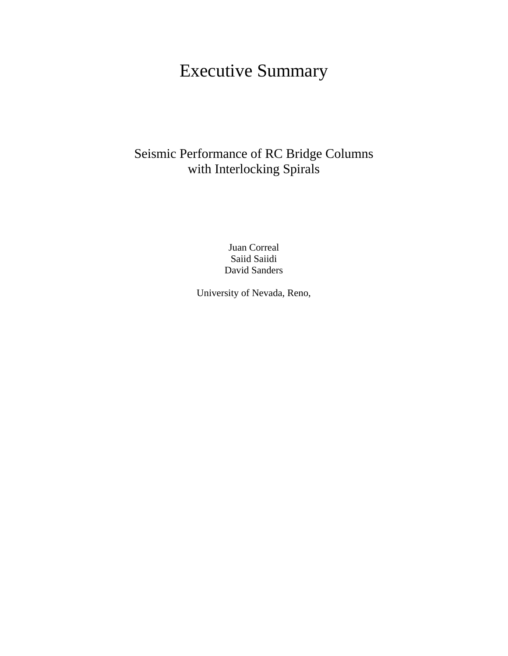# Executive Summary

# Seismic Performance of RC Bridge Columns with Interlocking Spirals

Juan Correal Saiid Saiidi David Sanders

University of Nevada, Reno,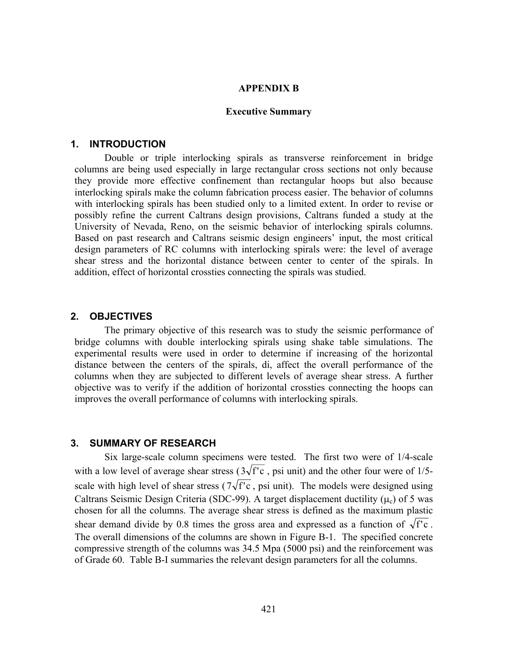#### **APPENDIX B**

#### **Executive Summary**

#### **1. INTRODUCTION**

Double or triple interlocking spirals as transverse reinforcement in bridge columns are being used especially in large rectangular cross sections not only because they provide more effective confinement than rectangular hoops but also because interlocking spirals make the column fabrication process easier. The behavior of columns with interlocking spirals has been studied only to a limited extent. In order to revise or possibly refine the current Caltrans design provisions, Caltrans funded a study at the University of Nevada, Reno, on the seismic behavior of interlocking spirals columns. Based on past research and Caltrans seismic design engineers' input, the most critical design parameters of RC columns with interlocking spirals were: the level of average shear stress and the horizontal distance between center to center of the spirals. In addition, effect of horizontal crossties connecting the spirals was studied.

#### **2. OBJECTIVES**

The primary objective of this research was to study the seismic performance of bridge columns with double interlocking spirals using shake table simulations. The experimental results were used in order to determine if increasing of the horizontal distance between the centers of the spirals, di, affect the overall performance of the columns when they are subjected to different levels of average shear stress. A further objective was to verify if the addition of horizontal crossties connecting the hoops can improves the overall performance of columns with interlocking spirals.

#### **3. SUMMARY OF RESEARCH**

Six large-scale column specimens were tested. The first two were of 1/4-scale with a low level of average shear stress ( $3\sqrt{f'c}$ , psi unit) and the other four were of 1/5scale with high level of shear stress ( $7\sqrt{f'c}$ , psi unit). The models were designed using Caltrans Seismic Design Criteria (SDC-99). A target displacement ductility  $(\mu_c)$  of 5 was chosen for all the columns. The average shear stress is defined as the maximum plastic shear demand divide by 0.8 times the gross area and expressed as a function of  $\sqrt{f}$  c. The overall dimensions of the columns are shown in Figure B-1. The specified concrete compressive strength of the columns was 34.5 Mpa (5000 psi) and the reinforcement was of Grade 60. Table B-I summaries the relevant design parameters for all the columns.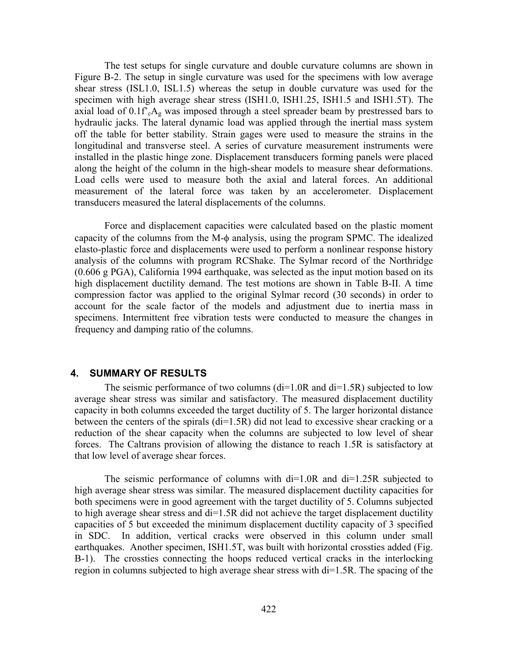The test setups for single curvature and double curvature columns are shown in Figure B-2. The setup in single curvature was used for the specimens with low average shear stress (ISL1.0, ISL1.5) whereas the setup in double curvature was used for the specimen with high average shear stress (ISH1.0, ISH1.25, ISH1.5 and ISH1.5T). The axial load of  $0.1f^c A_g$  was imposed through a steel spreader beam by prestressed bars to hydraulic jacks. The lateral dynamic load was applied through the inertial mass system off the table for better stability. Strain gages were used to measure the strains in the longitudinal and transverse steel. A series of curvature measurement instruments were installed in the plastic hinge zone. Displacement transducers forming panels were placed along the height of the column in the high-shear models to measure shear deformations. Load cells were used to measure both the axial and lateral forces. An additional measurement of the lateral force was taken by an accelerometer. Displacement transducers measured the lateral displacements of the columns.

Force and displacement capacities were calculated based on the plastic moment capacity of the columns from the M-φ analysis, using the program SPMC. The idealized elasto-plastic force and displacements were used to perform a nonlinear response history analysis of the columns with program RCShake. The Sylmar record of the Northridge (0.606 g PGA), California 1994 earthquake, was selected as the input motion based on its high displacement ductility demand. The test motions are shown in Table B-II. A time compression factor was applied to the original Sylmar record (30 seconds) in order to account for the scale factor of the models and adjustment due to inertia mass in specimens. Intermittent free vibration tests were conducted to measure the changes in frequency and damping ratio of the columns.

### **4. SUMMARY OF RESULTS**

The seismic performance of two columns  $(di=1.0R$  and  $di=1.5R)$  subjected to low average shear stress was similar and satisfactory. The measured displacement ductility capacity in both columns exceeded the target ductility of 5. The larger horizontal distance between the centers of the spirals (di=1.5R) did not lead to excessive shear cracking or a reduction of the shear capacity when the columns are subjected to low level of shear forces. The Caltrans provision of allowing the distance to reach 1.5R is satisfactory at that low level of average shear forces.

The seismic performance of columns with di=1.0R and di=1.25R subjected to high average shear stress was similar. The measured displacement ductility capacities for both specimens were in good agreement with the target ductility of 5. Columns subjected to high average shear stress and di=1.5R did not achieve the target displacement ductility capacities of 5 but exceeded the minimum displacement ductility capacity of 3 specified in SDC. In addition, vertical cracks were observed in this column under small earthquakes. Another specimen, ISH1.5T, was built with horizontal crossties added (Fig. B-1). The crossties connecting the hoops reduced vertical cracks in the interlocking region in columns subjected to high average shear stress with di=1.5R. The spacing of the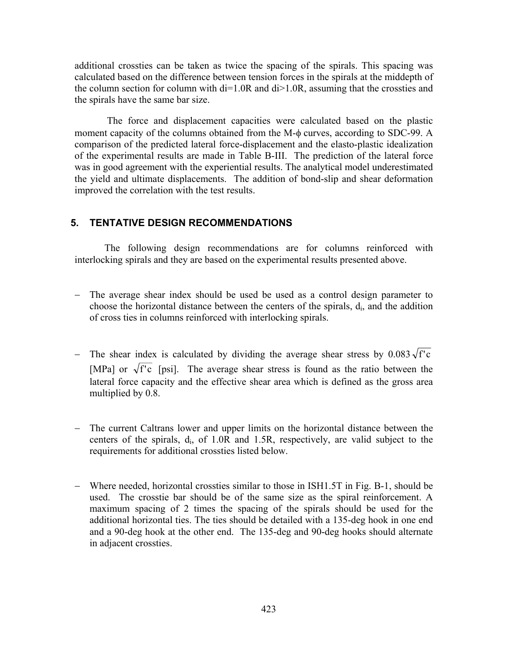additional crossties can be taken as twice the spacing of the spirals. This spacing was calculated based on the difference between tension forces in the spirals at the middepth of the column section for column with di=1.0R and di>1.0R, assuming that the crossties and the spirals have the same bar size.

The force and displacement capacities were calculated based on the plastic moment capacity of the columns obtained from the M-φ curves, according to SDC-99. A comparison of the predicted lateral force-displacement and the elasto-plastic idealization of the experimental results are made in Table B-III. The prediction of the lateral force was in good agreement with the experiential results. The analytical model underestimated the yield and ultimate displacements. The addition of bond-slip and shear deformation improved the correlation with the test results.

#### **5. TENTATIVE DESIGN RECOMMENDATIONS**

The following design recommendations are for columns reinforced with interlocking spirals and they are based on the experimental results presented above.

- − The average shear index should be used be used as a control design parameter to choose the horizontal distance between the centers of the spirals,  $d_i$ , and the addition of cross ties in columns reinforced with interlocking spirals.
- The shear index is calculated by dividing the average shear stress by  $0.083\sqrt{f}$  c [MPa] or  $\sqrt{f'c}$  [psi]. The average shear stress is found as the ratio between the lateral force capacity and the effective shear area which is defined as the gross area multiplied by 0.8.
- − The current Caltrans lower and upper limits on the horizontal distance between the centers of the spirals,  $d_i$ , of 1.0R and 1.5R, respectively, are valid subject to the requirements for additional crossties listed below.
- − Where needed, horizontal crossties similar to those in ISH1.5T in Fig. B-1, should be used. The crosstie bar should be of the same size as the spiral reinforcement. A maximum spacing of 2 times the spacing of the spirals should be used for the additional horizontal ties. The ties should be detailed with a 135-deg hook in one end and a 90-deg hook at the other end. The 135-deg and 90-deg hooks should alternate in adjacent crossties.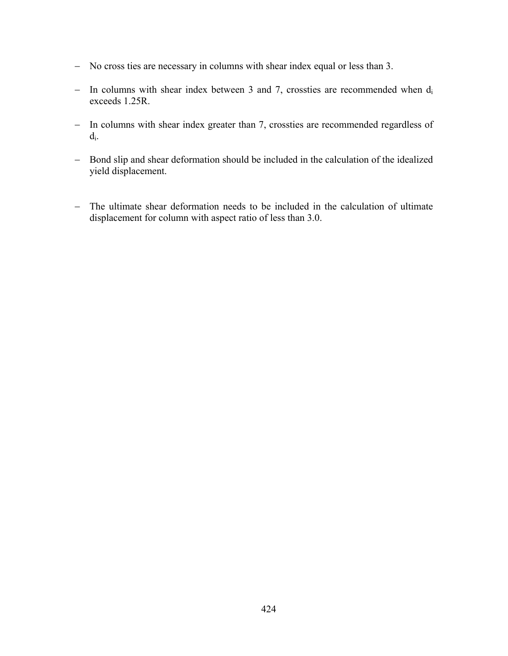- − No cross ties are necessary in columns with shear index equal or less than 3.
- − In columns with shear index between 3 and 7, crossties are recommended when di exceeds 1.25R.
- − In columns with shear index greater than 7, crossties are recommended regardless of  $d_i$ .
- − Bond slip and shear deformation should be included in the calculation of the idealized yield displacement.
- − The ultimate shear deformation needs to be included in the calculation of ultimate displacement for column with aspect ratio of less than 3.0.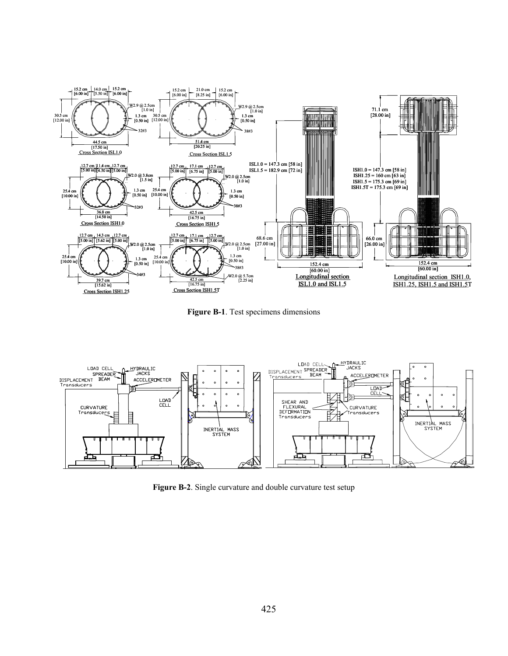

**Figure B-1**. Test specimens dimensions



**Figure B-2**. Single curvature and double curvature test setup